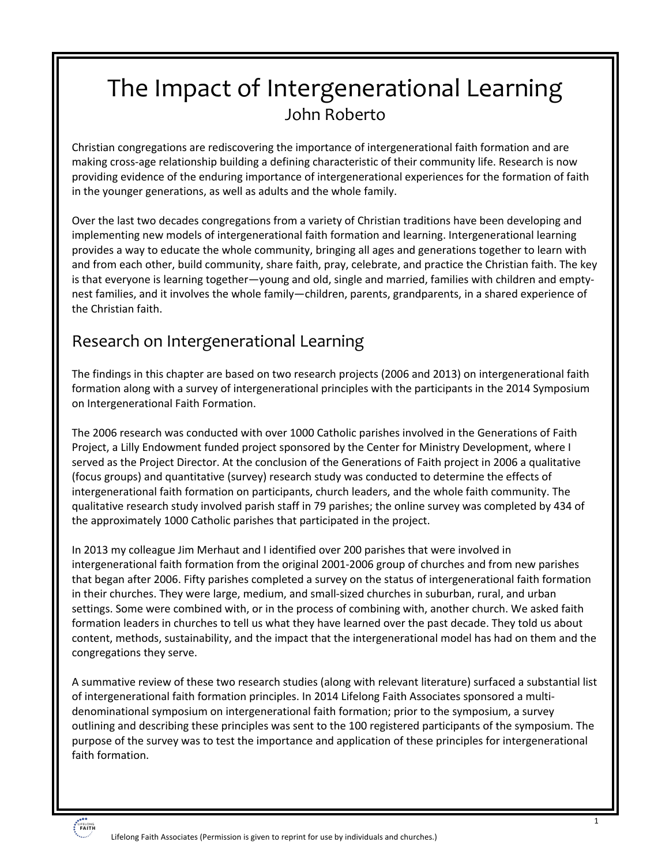# The Impact of Intergenerational Learning John Roberto

Christian congregations are rediscovering the importance of intergenerational faith formation and are making cross-age relationship building a defining characteristic of their community life. Research is now providing evidence of the enduring importance of intergenerational experiences for the formation of faith in the younger generations, as well as adults and the whole family.

Over the last two decades congregations from a variety of Christian traditions have been developing and implementing new models of intergenerational faith formation and learning. Intergenerational learning provides a way to educate the whole community, bringing all ages and generations together to learn with and from each other, build community, share faith, pray, celebrate, and practice the Christian faith. The key is that everyone is learning together—young and old, single and married, families with children and emptynest families, and it involves the whole family—children, parents, grandparents, in a shared experience of the Christian faith.

### Research on Intergenerational Learning

The findings in this chapter are based on two research projects (2006 and 2013) on intergenerational faith formation along with a survey of intergenerational principles with the participants in the 2014 Symposium on Intergenerational Faith Formation.

The 2006 research was conducted with over 1000 Catholic parishes involved in the Generations of Faith Project, a Lilly Endowment funded project sponsored by the Center for Ministry Development, where I served as the Project Director. At the conclusion of the Generations of Faith project in 2006 a qualitative (focus groups) and quantitative (survey) research study was conducted to determine the effects of intergenerational faith formation on participants, church leaders, and the whole faith community. The qualitative research study involved parish staff in 79 parishes; the online survey was completed by 434 of the approximately 1000 Catholic parishes that participated in the project.

In 2013 my colleague Jim Merhaut and I identified over 200 parishes that were involved in intergenerational faith formation from the original 2001-2006 group of churches and from new parishes that began after 2006. Fifty parishes completed a survey on the status of intergenerational faith formation in their churches. They were large, medium, and small-sized churches in suburban, rural, and urban settings. Some were combined with, or in the process of combining with, another church. We asked faith formation leaders in churches to tell us what they have learned over the past decade. They told us about content, methods, sustainability, and the impact that the intergenerational model has had on them and the congregations they serve.

A summative review of these two research studies (along with relevant literature) surfaced a substantial list of intergenerational faith formation principles. In 2014 Lifelong Faith Associates sponsored a multidenominational symposium on intergenerational faith formation; prior to the symposium, a survey outlining and describing these principles was sent to the 100 registered participants of the symposium. The purpose of the survey was to test the importance and application of these principles for intergenerational faith formation.

# LIFELONG<br>**FAITH**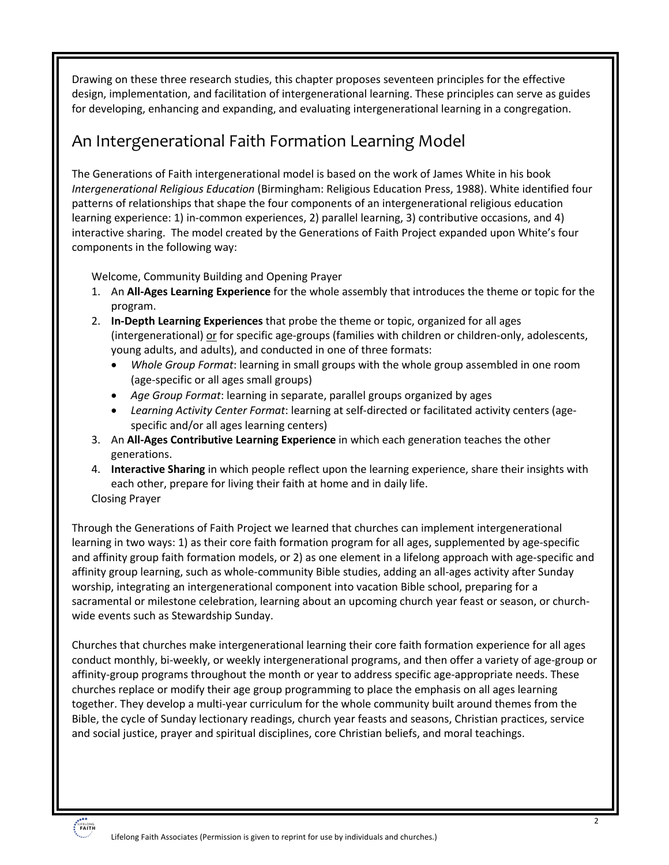Drawing on these three research studies, this chapter proposes seventeen principles for the effective design, implementation, and facilitation of intergenerational learning. These principles can serve as guides for developing, enhancing and expanding, and evaluating intergenerational learning in a congregation.

### An Intergenerational Faith Formation Learning Model

The Generations of Faith intergenerational model is based on the work of James White in his book *Intergenerational Religious Education* (Birmingham: Religious Education Press, 1988). White identified four patterns of relationships that shape the four components of an intergenerational religious education learning experience: 1) in-common experiences, 2) parallel learning, 3) contributive occasions, and 4) interactive sharing. The model created by the Generations of Faith Project expanded upon White's four components in the following way:

Welcome, Community Building and Opening Prayer

- 1. An **All-Ages Learning Experience** for the whole assembly that introduces the theme or topic for the program.
- 2. **In-Depth Learning Experiences** that probe the theme or topic, organized for all ages (intergenerational) or for specific age-groups (families with children or children-only, adolescents, young adults, and adults), and conducted in one of three formats:
	- *Whole Group Format*: learning in small groups with the whole group assembled in one room (age-specific or all ages small groups)
	- *Age Group Format*: learning in separate, parallel groups organized by ages
	- *Learning Activity Center Format*: learning at self-directed or facilitated activity centers (agespecific and/or all ages learning centers)
- 3. An **All-Ages Contributive Learning Experience** in which each generation teaches the other generations.
- 4. **Interactive Sharing** in which people reflect upon the learning experience, share their insights with each other, prepare for living their faith at home and in daily life. Closing Prayer

Through the Generations of Faith Project we learned that churches can implement intergenerational learning in two ways: 1) as their core faith formation program for all ages, supplemented by age-specific and affinity group faith formation models, or 2) as one element in a lifelong approach with age-specific and affinity group learning, such as whole-community Bible studies, adding an all-ages activity after Sunday worship, integrating an intergenerational component into vacation Bible school, preparing for a sacramental or milestone celebration, learning about an upcoming church year feast or season, or churchwide events such as Stewardship Sunday.

Churches that churches make intergenerational learning their core faith formation experience for all ages conduct monthly, bi-weekly, or weekly intergenerational programs, and then offer a variety of age-group or affinity-group programs throughout the month or year to address specific age-appropriate needs. These churches replace or modify their age group programming to place the emphasis on all ages learning together. They develop a multi-year curriculum for the whole community built around themes from the Bible, the cycle of Sunday lectionary readings, church year feasts and seasons, Christian practices, service and social justice, prayer and spiritual disciplines, core Christian beliefs, and moral teachings.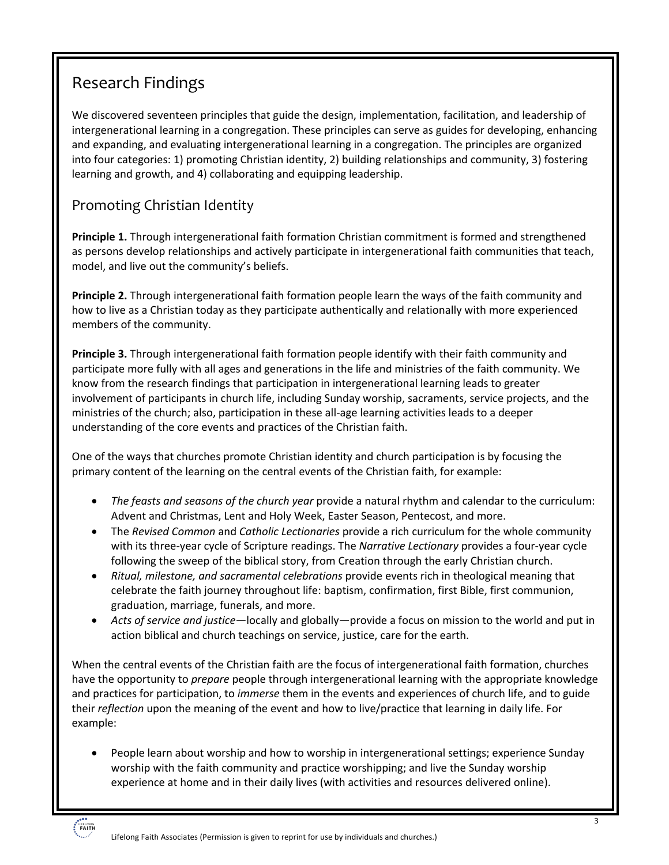## Research Findings

We discovered seventeen principles that guide the design, implementation, facilitation, and leadership of intergenerational learning in a congregation. These principles can serve as guides for developing, enhancing and expanding, and evaluating intergenerational learning in a congregation. The principles are organized into four categories: 1) promoting Christian identity, 2) building relationships and community, 3) fostering learning and growth, and 4) collaborating and equipping leadership.

#### Promoting Christian Identity

**Principle 1.** Through intergenerational faith formation Christian commitment is formed and strengthened as persons develop relationships and actively participate in intergenerational faith communities that teach, model, and live out the community's beliefs.

**Principle 2.** Through intergenerational faith formation people learn the ways of the faith community and how to live as a Christian today as they participate authentically and relationally with more experienced members of the community.

**Principle 3.** Through intergenerational faith formation people identify with their faith community and participate more fully with all ages and generations in the life and ministries of the faith community. We know from the research findings that participation in intergenerational learning leads to greater involvement of participants in church life, including Sunday worship, sacraments, service projects, and the ministries of the church; also, participation in these all-age learning activities leads to a deeper understanding of the core events and practices of the Christian faith.

One of the ways that churches promote Christian identity and church participation is by focusing the primary content of the learning on the central events of the Christian faith, for example:

- *The feasts and seasons of the church year* provide a natural rhythm and calendar to the curriculum: Advent and Christmas, Lent and Holy Week, Easter Season, Pentecost, and more.
- The *Revised Common* and *Catholic Lectionaries* provide a rich curriculum for the whole community with its three-year cycle of Scripture readings. The *Narrative Lectionary* provides a four-year cycle following the sweep of the biblical story, from Creation through the early Christian church.
- *Ritual, milestone, and sacramental celebrations* provide events rich in theological meaning that celebrate the faith journey throughout life: baptism, confirmation, first Bible, first communion, graduation, marriage, funerals, and more.
- *Acts of service and justice*—locally and globally—provide a focus on mission to the world and put in action biblical and church teachings on service, justice, care for the earth.

When the central events of the Christian faith are the focus of intergenerational faith formation, churches have the opportunity to *prepare* people through intergenerational learning with the appropriate knowledge and practices for participation, to *immerse* them in the events and experiences of church life, and to guide their *reflection* upon the meaning of the event and how to live/practice that learning in daily life. For example:

• People learn about worship and how to worship in intergenerational settings; experience Sunday worship with the faith community and practice worshipping; and live the Sunday worship experience at home and in their daily lives (with activities and resources delivered online).

Lifelong Faith Associates (Permission is given to reprint for use by individuals and churches.)

LIFELONG<br>**FAITH**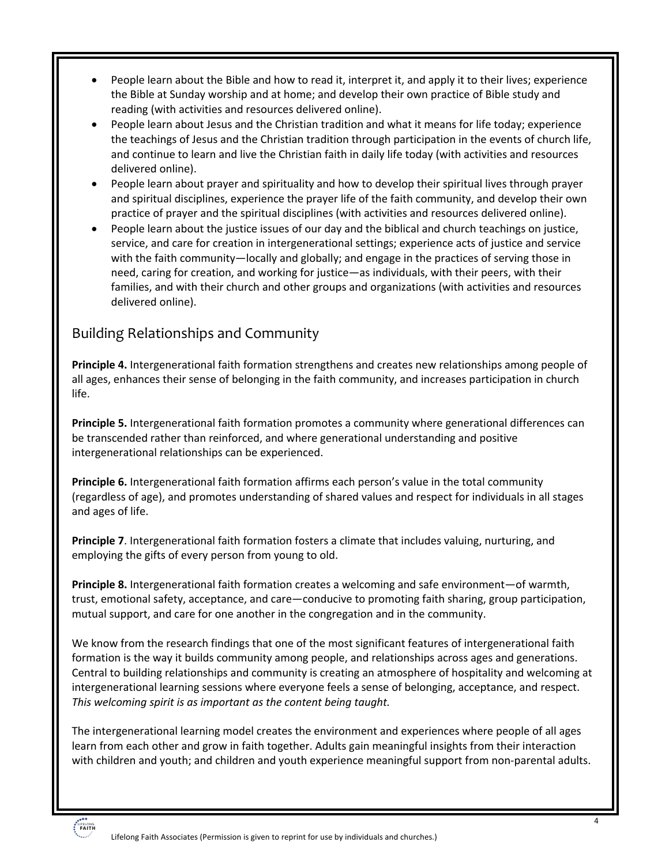- People learn about the Bible and how to read it, interpret it, and apply it to their lives; experience the Bible at Sunday worship and at home; and develop their own practice of Bible study and reading (with activities and resources delivered online).
- People learn about Jesus and the Christian tradition and what it means for life today; experience the teachings of Jesus and the Christian tradition through participation in the events of church life, and continue to learn and live the Christian faith in daily life today (with activities and resources delivered online).
- People learn about prayer and spirituality and how to develop their spiritual lives through prayer and spiritual disciplines, experience the prayer life of the faith community, and develop their own practice of prayer and the spiritual disciplines (with activities and resources delivered online).
- People learn about the justice issues of our day and the biblical and church teachings on justice, service, and care for creation in intergenerational settings; experience acts of justice and service with the faith community—locally and globally; and engage in the practices of serving those in need, caring for creation, and working for justice—as individuals, with their peers, with their families, and with their church and other groups and organizations (with activities and resources delivered online).

#### Building Relationships and Community

**Principle 4.** Intergenerational faith formation strengthens and creates new relationships among people of all ages, enhances their sense of belonging in the faith community, and increases participation in church life.

**Principle 5.** Intergenerational faith formation promotes a community where generational differences can be transcended rather than reinforced, and where generational understanding and positive intergenerational relationships can be experienced.

**Principle 6.** Intergenerational faith formation affirms each person's value in the total community (regardless of age), and promotes understanding of shared values and respect for individuals in all stages and ages of life.

**Principle 7**. Intergenerational faith formation fosters a climate that includes valuing, nurturing, and employing the gifts of every person from young to old.

**Principle 8.** Intergenerational faith formation creates a welcoming and safe environment—of warmth, trust, emotional safety, acceptance, and care—conducive to promoting faith sharing, group participation, mutual support, and care for one another in the congregation and in the community.

We know from the research findings that one of the most significant features of intergenerational faith formation is the way it builds community among people, and relationships across ages and generations. Central to building relationships and community is creating an atmosphere of hospitality and welcoming at intergenerational learning sessions where everyone feels a sense of belonging, acceptance, and respect. *This welcoming spirit is as important as the content being taught.* 

The intergenerational learning model creates the environment and experiences where people of all ages learn from each other and grow in faith together. Adults gain meaningful insights from their interaction with children and youth; and children and youth experience meaningful support from non-parental adults.

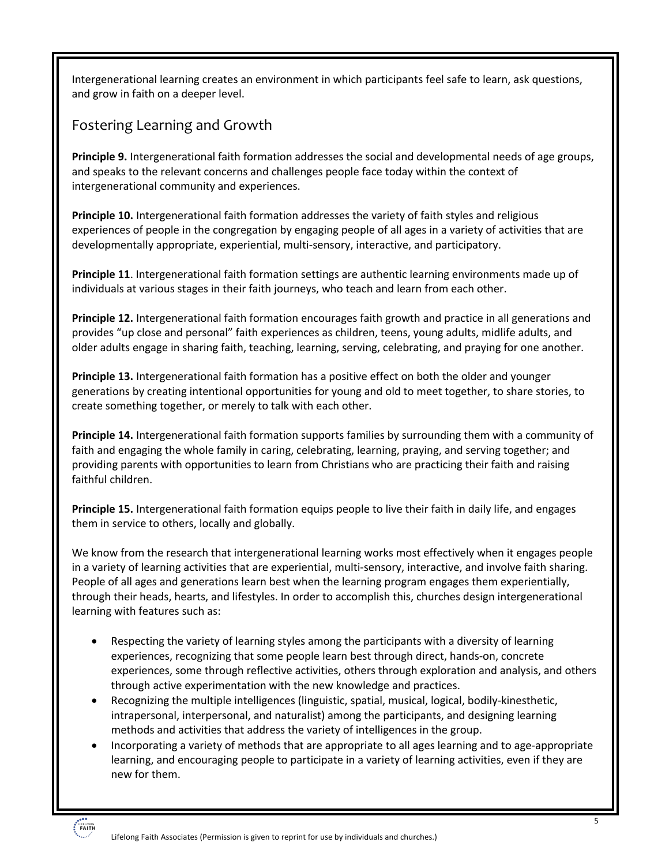Intergenerational learning creates an environment in which participants feel safe to learn, ask questions, and grow in faith on a deeper level.

#### Fostering Learning and Growth

**Principle 9.** Intergenerational faith formation addresses the social and developmental needs of age groups, and speaks to the relevant concerns and challenges people face today within the context of intergenerational community and experiences.

**Principle 10.** Intergenerational faith formation addresses the variety of faith styles and religious experiences of people in the congregation by engaging people of all ages in a variety of activities that are developmentally appropriate, experiential, multi-sensory, interactive, and participatory.

**Principle 11**. Intergenerational faith formation settings are authentic learning environments made up of individuals at various stages in their faith journeys, who teach and learn from each other.

**Principle 12.** Intergenerational faith formation encourages faith growth and practice in all generations and provides "up close and personal" faith experiences as children, teens, young adults, midlife adults, and older adults engage in sharing faith, teaching, learning, serving, celebrating, and praying for one another.

**Principle 13.** Intergenerational faith formation has a positive effect on both the older and younger generations by creating intentional opportunities for young and old to meet together, to share stories, to create something together, or merely to talk with each other.

**Principle 14.** Intergenerational faith formation supports families by surrounding them with a community of faith and engaging the whole family in caring, celebrating, learning, praying, and serving together; and providing parents with opportunities to learn from Christians who are practicing their faith and raising faithful children.

**Principle 15.** Intergenerational faith formation equips people to live their faith in daily life, and engages them in service to others, locally and globally.

We know from the research that intergenerational learning works most effectively when it engages people in a variety of learning activities that are experiential, multi-sensory, interactive, and involve faith sharing. People of all ages and generations learn best when the learning program engages them experientially, through their heads, hearts, and lifestyles. In order to accomplish this, churches design intergenerational learning with features such as:

- Respecting the variety of learning styles among the participants with a diversity of learning experiences, recognizing that some people learn best through direct, hands-on, concrete experiences, some through reflective activities, others through exploration and analysis, and others through active experimentation with the new knowledge and practices.
- Recognizing the multiple intelligences (linguistic, spatial, musical, logical, bodily-kinesthetic, intrapersonal, interpersonal, and naturalist) among the participants, and designing learning methods and activities that address the variety of intelligences in the group.
- Incorporating a variety of methods that are appropriate to all ages learning and to age-appropriate learning, and encouraging people to participate in a variety of learning activities, even if they are new for them.